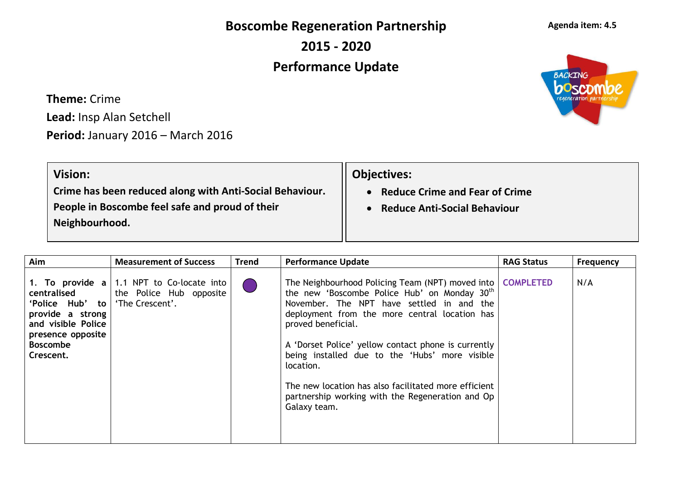**Boscombe Regeneration Partnership**

**2015 - 2020**

## **Performance Update**

**Theme:** Crime **Lead:** Insp Alan Setchell

**Period:** January 2016 – March 2016

| <b>Vision:</b>                                           | <b>Objectives:</b>                  |
|----------------------------------------------------------|-------------------------------------|
| Crime has been reduced along with Anti-Social Behaviour. | • Reduce Crime and Fear of Crime    |
| People in Boscombe feel safe and proud of their          | <b>Reduce Anti-Social Behaviour</b> |
| Neighbourhood.                                           |                                     |
|                                                          |                                     |

| Aim                                                                                                                                                          | <b>Measurement of Success</b>                                           | <b>Trend</b> | <b>Performance Update</b>                                                                                                                                                                                                                                                                                                                                                                                                                                                                      | <b>RAG Status</b> | <b>Frequency</b> |
|--------------------------------------------------------------------------------------------------------------------------------------------------------------|-------------------------------------------------------------------------|--------------|------------------------------------------------------------------------------------------------------------------------------------------------------------------------------------------------------------------------------------------------------------------------------------------------------------------------------------------------------------------------------------------------------------------------------------------------------------------------------------------------|-------------------|------------------|
| 1. To provide $a \mid$<br>centralised<br>'Police Hub'<br>to  <br>provide a strong<br>and visible Police<br>presence opposite<br><b>Boscombe</b><br>Crescent. | 1.1 NPT to Co-locate into<br>the Police Hub opposite<br>'The Crescent'. |              | The Neighbourhood Policing Team (NPT) moved into   COMPLETED<br>the new 'Boscombe Police Hub' on Monday 30 <sup>th</sup><br>November. The NPT have settled in and the<br>deployment from the more central location has<br>proved beneficial.<br>A 'Dorset Police' yellow contact phone is currently<br>being installed due to the 'Hubs' more visible<br>location.<br>The new location has also facilitated more efficient<br>partnership working with the Regeneration and Op<br>Galaxy team. |                   | N/A              |



## **Agenda item: 4.5**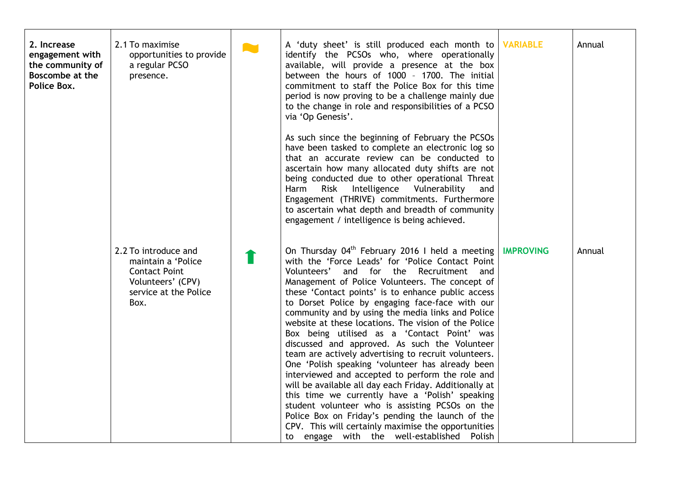| 2. Increase<br>engagement with<br>the community of<br>Boscombe at the<br>Police Box. | 2.1 To maximise<br>opportunities to provide<br>a regular PCSO<br>presence.                                               | <b>AM</b> | A 'duty sheet' is still produced each month to<br>identify the PCSOs who, where operationally<br>available, will provide a presence at the box<br>between the hours of 1000 - 1700. The initial<br>commitment to staff the Police Box for this time<br>period is now proving to be a challenge mainly due<br>to the change in role and responsibilities of a PCSO<br>via 'Op Genesis'.                                                                                                                                                                                                                                                                                                                                                                                                                                                                                                                                                                                                                                          | <b>VARIABLE</b>  | Annual |
|--------------------------------------------------------------------------------------|--------------------------------------------------------------------------------------------------------------------------|-----------|---------------------------------------------------------------------------------------------------------------------------------------------------------------------------------------------------------------------------------------------------------------------------------------------------------------------------------------------------------------------------------------------------------------------------------------------------------------------------------------------------------------------------------------------------------------------------------------------------------------------------------------------------------------------------------------------------------------------------------------------------------------------------------------------------------------------------------------------------------------------------------------------------------------------------------------------------------------------------------------------------------------------------------|------------------|--------|
|                                                                                      |                                                                                                                          |           | As such since the beginning of February the PCSOs<br>have been tasked to complete an electronic log so<br>that an accurate review can be conducted to<br>ascertain how many allocated duty shifts are not<br>being conducted due to other operational Threat<br>Risk Intelligence Vulnerability<br>Harm<br>and<br>Engagement (THRIVE) commitments. Furthermore<br>to ascertain what depth and breadth of community<br>engagement / intelligence is being achieved.                                                                                                                                                                                                                                                                                                                                                                                                                                                                                                                                                              |                  |        |
|                                                                                      | 2.2 To introduce and<br>maintain a 'Police<br><b>Contact Point</b><br>Volunteers' (CPV)<br>service at the Police<br>Box. |           | On Thursday 04 <sup>th</sup> February 2016 I held a meeting<br>with the 'Force Leads' for 'Police Contact Point<br>Volunteers'<br>and for the Recruitment and<br>Management of Police Volunteers. The concept of<br>these 'Contact points' is to enhance public access<br>to Dorset Police by engaging face-face with our<br>community and by using the media links and Police<br>website at these locations. The vision of the Police<br>Box being utilised as a 'Contact Point' was<br>discussed and approved. As such the Volunteer<br>team are actively advertising to recruit volunteers.<br>One 'Polish speaking 'volunteer has already been<br>interviewed and accepted to perform the role and<br>will be available all day each Friday. Additionally at<br>this time we currently have a 'Polish' speaking<br>student volunteer who is assisting PCSOs on the<br>Police Box on Friday's pending the launch of the<br>CPV. This will certainly maximise the opportunities<br>to engage with the well-established Polish | <b>IMPROVING</b> | Annual |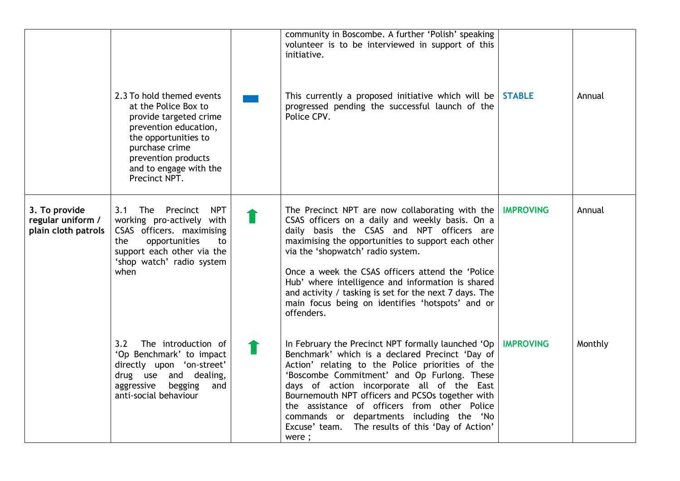|                                                           | 2.3 To hold themed events<br>at the Police Box to<br>provide targeted crime<br>prevention education,<br>the opportunities to<br>purchase crime<br>prevention products<br>and to engage with the<br>Precinct NPT. | community in Boscombe. A further 'Polish' speaking<br>volunteer is to be interviewed in support of this<br>initiative.<br>This currently a proposed initiative which will be STABLE<br>progressed pending the successful launch of the<br>Police CPV.                                                                                                                                                                                                                                       |                  | Annual  |
|-----------------------------------------------------------|------------------------------------------------------------------------------------------------------------------------------------------------------------------------------------------------------------------|---------------------------------------------------------------------------------------------------------------------------------------------------------------------------------------------------------------------------------------------------------------------------------------------------------------------------------------------------------------------------------------------------------------------------------------------------------------------------------------------|------------------|---------|
| 3. To provide<br>regular uniform /<br>plain cloth patrols | 3.1 The Precinct<br><b>NPT</b><br>working pro-actively with<br>CSAS officers. maximising<br>opportunities<br>the<br>to<br>support each other via the<br>'shop watch' radio system<br>when                        | The Precinct NPT are now collaborating with the   IMPROVING<br>CSAS officers on a daily and weekly basis. On a<br>daily basis the CSAS and NPT officers are<br>maximising the opportunities to support each other<br>via the 'shopwatch' radio system.<br>Once a week the CSAS officers attend the 'Police<br>Hub' where intelligence and information is shared<br>and activity / tasking is set for the next 7 days. The<br>main focus being on identifies 'hotspots' and or<br>offenders. |                  | Annual  |
|                                                           | 3.2<br>The introduction of<br>'Op Benchmark' to impact<br>directly upon 'on-street'<br>drug use and dealing,<br>aggressive<br>begging<br>and<br>anti-social behaviour                                            | In February the Precinct NPT formally launched 'Op  <br>Benchmark' which is a declared Precinct 'Day of<br>Action' relating to the Police priorities of the<br>'Boscombe Commitment' and Op Furlong. These<br>days of action incorporate all of the East<br>Bournemouth NPT officers and PCSOs together with<br>the assistance of officers from other Police<br>commands or departments including the 'No<br>Excuse' team. The results of this 'Day of Action'<br>were;                     | <b>IMPROVING</b> | Monthly |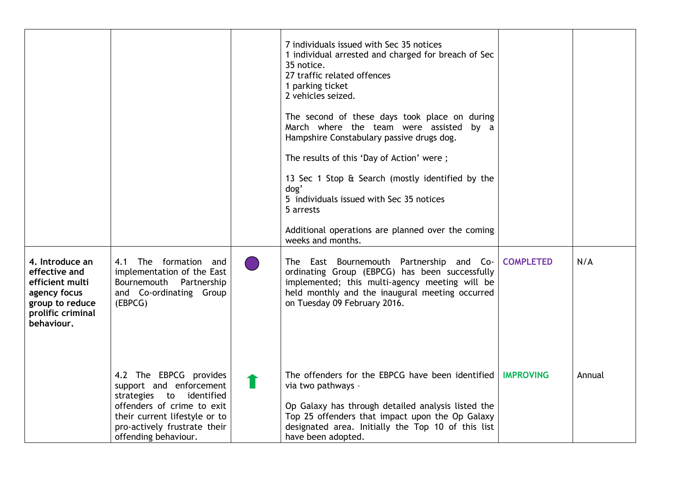|                                                                                                                           |                                                                                                                                                                                                      |   | 7 individuals issued with Sec 35 notices<br>1 individual arrested and charged for breach of Sec<br>35 notice.<br>27 traffic related offences<br>1 parking ticket<br>2 vehicles seized.<br>The second of these days took place on during<br>March where the team were assisted by a<br>Hampshire Constabulary passive drugs dog.<br>The results of this 'Day of Action' were;<br>13 Sec 1 Stop & Search (mostly identified by the<br>dog'<br>5 individuals issued with Sec 35 notices<br>5 arrests<br>Additional operations are planned over the coming<br>weeks and months. |                  |        |
|---------------------------------------------------------------------------------------------------------------------------|------------------------------------------------------------------------------------------------------------------------------------------------------------------------------------------------------|---|-----------------------------------------------------------------------------------------------------------------------------------------------------------------------------------------------------------------------------------------------------------------------------------------------------------------------------------------------------------------------------------------------------------------------------------------------------------------------------------------------------------------------------------------------------------------------------|------------------|--------|
| 4. Introduce an<br>effective and<br>efficient multi<br>agency focus<br>group to reduce<br>prolific criminal<br>behaviour. | The formation and<br>4.1<br>implementation of the East<br>Bournemouth Partnership<br>and Co-ordinating Group<br>(EBPCG)                                                                              |   | The East Bournemouth Partnership and Co-<br>ordinating Group (EBPCG) has been successfully<br>implemented; this multi-agency meeting will be<br>held monthly and the inaugural meeting occurred<br>on Tuesday 09 February 2016.                                                                                                                                                                                                                                                                                                                                             | <b>COMPLETED</b> | N/A    |
|                                                                                                                           | 4.2 The EBPCG provides<br>support and enforcement<br>strategies to identified<br>offenders of crime to exit<br>their current lifestyle or to<br>pro-actively frustrate their<br>offending behaviour. | 1 | The offenders for the EBPCG have been identified<br>via two pathways -<br>Op Galaxy has through detailed analysis listed the<br>Top 25 offenders that impact upon the Op Galaxy<br>designated area. Initially the Top 10 of this list<br>have been adopted.                                                                                                                                                                                                                                                                                                                 | <b>IMPROVING</b> | Annual |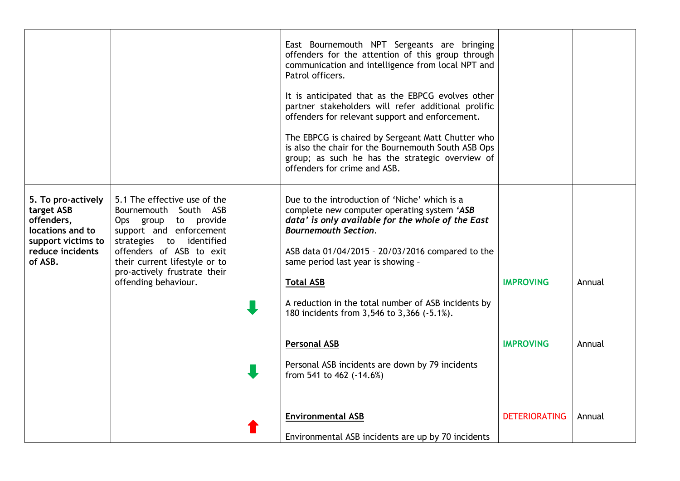|                                                                                                                         |                                                                                                                                                                                                                                                           | East Bournemouth NPT Sergeants are bringing<br>offenders for the attention of this group through<br>communication and intelligence from local NPT and<br>Patrol officers.<br>It is anticipated that as the EBPCG evolves other<br>partner stakeholders will refer additional prolific<br>offenders for relevant support and enforcement.<br>The EBPCG is chaired by Sergeant Matt Chutter who<br>is also the chair for the Bournemouth South ASB Ops<br>group; as such he has the strategic overview of<br>offenders for crime and ASB. |                                          |                  |
|-------------------------------------------------------------------------------------------------------------------------|-----------------------------------------------------------------------------------------------------------------------------------------------------------------------------------------------------------------------------------------------------------|-----------------------------------------------------------------------------------------------------------------------------------------------------------------------------------------------------------------------------------------------------------------------------------------------------------------------------------------------------------------------------------------------------------------------------------------------------------------------------------------------------------------------------------------|------------------------------------------|------------------|
| 5. To pro-actively<br>target ASB<br>offenders,<br>locations and to<br>support victims to<br>reduce incidents<br>of ASB. | 5.1 The effective use of the<br>Bournemouth South ASB<br>Ops group to provide<br>support and enforcement<br>strategies to identified<br>offenders of ASB to exit<br>their current lifestyle or to<br>pro-actively frustrate their<br>offending behaviour. | Due to the introduction of 'Niche' which is a<br>complete new computer operating system 'ASB<br>data' is only available for the whole of the East<br><b>Bournemouth Section.</b><br>ASB data 01/04/2015 - 20/03/2016 compared to the<br>same period last year is showing -<br><b>Total ASB</b><br>A reduction in the total number of ASB incidents by<br>180 incidents from 3,546 to 3,366 (-5.1%).                                                                                                                                     | <b>IMPROVING</b>                         | Annual           |
|                                                                                                                         |                                                                                                                                                                                                                                                           | <b>Personal ASB</b><br>Personal ASB incidents are down by 79 incidents<br>from 541 to 462 (-14.6%)<br><b>Environmental ASB</b>                                                                                                                                                                                                                                                                                                                                                                                                          | <b>IMPROVING</b><br><b>DETERIORATING</b> | Annual<br>Annual |
|                                                                                                                         |                                                                                                                                                                                                                                                           | Environmental ASB incidents are up by 70 incidents                                                                                                                                                                                                                                                                                                                                                                                                                                                                                      |                                          |                  |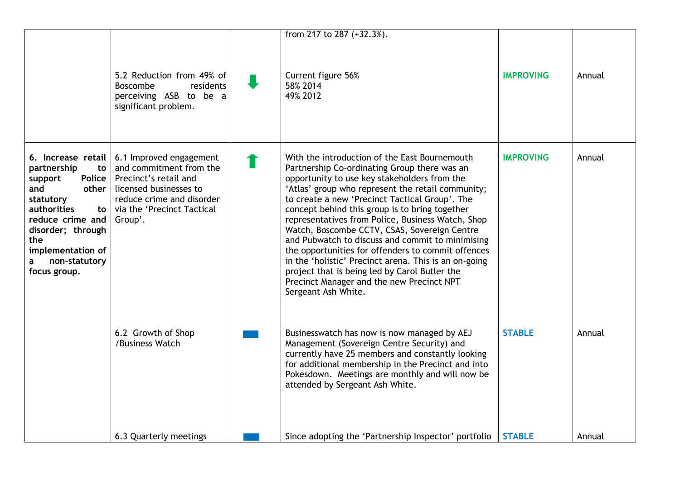|                                                                                                                                                                                                     |                                                                                                                                                                                                  | from 217 to 287 (+32.3%).                                                                                                                                                                                                                                                                                                                                                                                                                                                                                                                                                                                                                                                                           |                  |        |
|-----------------------------------------------------------------------------------------------------------------------------------------------------------------------------------------------------|--------------------------------------------------------------------------------------------------------------------------------------------------------------------------------------------------|-----------------------------------------------------------------------------------------------------------------------------------------------------------------------------------------------------------------------------------------------------------------------------------------------------------------------------------------------------------------------------------------------------------------------------------------------------------------------------------------------------------------------------------------------------------------------------------------------------------------------------------------------------------------------------------------------------|------------------|--------|
|                                                                                                                                                                                                     | 5.2 Reduction from 49% of<br>Boscombe<br>residents<br>perceiving ASB to be a<br>significant problem.                                                                                             | Current figure 56%<br>58% 2014<br>49% 2012                                                                                                                                                                                                                                                                                                                                                                                                                                                                                                                                                                                                                                                          | <b>IMPROVING</b> | Annual |
| partnership<br>to<br>Police<br>support<br>other<br>and<br>statutory<br>authorities<br>to<br>reduce crime and<br>disorder; through<br>the<br>implementation of<br>non-statutory<br>a<br>focus group. | 6. Increase retail   6.1 Improved engagement<br>and commitment from the<br>Precinct's retail and<br>licensed businesses to<br>reduce crime and disorder<br>via the 'Precinct Tactical<br>Group'. | With the introduction of the East Bournemouth<br>Partnership Co-ordinating Group there was an<br>opportunity to use key stakeholders from the<br>'Atlas' group who represent the retail community;<br>to create a new 'Precinct Tactical Group'. The<br>concept behind this group is to bring together<br>representatives from Police, Business Watch, Shop<br>Watch, Boscombe CCTV, CSAS, Sovereign Centre<br>and Pubwatch to discuss and commit to minimising<br>the opportunities for offenders to commit offences<br>in the 'holistic' Precinct arena. This is an on-going<br>project that is being led by Carol Butler the<br>Precinct Manager and the new Precinct NPT<br>Sergeant Ash White. | <b>IMPROVING</b> | Annual |
|                                                                                                                                                                                                     | 6.2 Growth of Shop<br>/Business Watch                                                                                                                                                            | Businesswatch has now is now managed by AEJ<br>Management (Sovereign Centre Security) and<br>currently have 25 members and constantly looking<br>for additional membership in the Precinct and into<br>Pokesdown. Meetings are monthly and will now be<br>attended by Sergeant Ash White.                                                                                                                                                                                                                                                                                                                                                                                                           | <b>STABLE</b>    | Annual |
|                                                                                                                                                                                                     | 6.3 Quarterly meetings                                                                                                                                                                           | Since adopting the 'Partnership Inspector' portfolio                                                                                                                                                                                                                                                                                                                                                                                                                                                                                                                                                                                                                                                | <b>STABLE</b>    | Annual |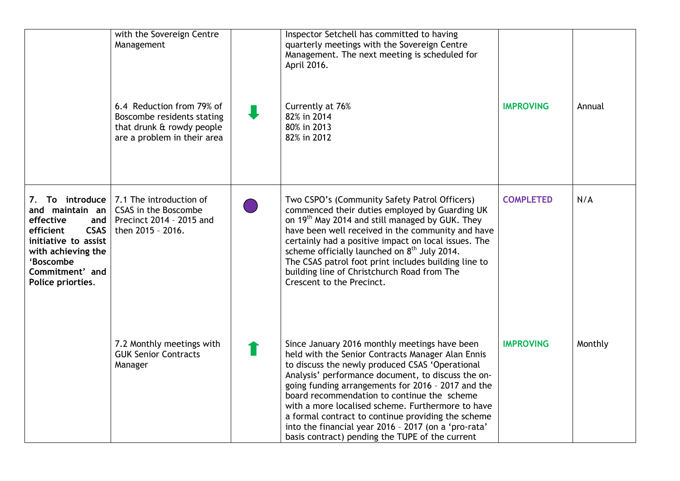|                                                                                                                                                      | with the Sovereign Centre<br>Management<br>6.4 Reduction from 79% of<br>Boscombe residents stating<br>that drunk & rowdy people<br>are a problem in their area | Inspector Setchell has committed to having<br>quarterly meetings with the Sovereign Centre<br>Management. The next meeting is scheduled for<br>April 2016.<br>Currently at 76%<br>82% in 2014<br>80% in 2013<br>82% in 2012                                                                                                                                                                                                                                                                                                            | <b>IMPROVING</b> | Annual  |
|------------------------------------------------------------------------------------------------------------------------------------------------------|----------------------------------------------------------------------------------------------------------------------------------------------------------------|----------------------------------------------------------------------------------------------------------------------------------------------------------------------------------------------------------------------------------------------------------------------------------------------------------------------------------------------------------------------------------------------------------------------------------------------------------------------------------------------------------------------------------------|------------------|---------|
| and maintain an<br>effective<br>efficient<br>CSAS<br>initiative to assist<br>with achieving the<br>'Boscombe<br>Commitment' and<br>Police priorties. | 7. To introduce   7.1 The introduction of<br>CSAS in the Boscombe<br>and   Precinct 2014 - 2015 and<br>then 2015 - 2016.                                       | Two CSPO's (Community Safety Patrol Officers)<br>commenced their duties employed by Guarding UK<br>on 19 <sup>th</sup> May 2014 and still managed by GUK. They<br>have been well received in the community and have<br>certainly had a positive impact on local issues. The<br>scheme officially launched on $8th$ July 2014.<br>The CSAS patrol foot print includes building line to<br>building line of Christchurch Road from The<br>Crescent to the Precinct.                                                                      | <b>COMPLETED</b> | N/A     |
|                                                                                                                                                      | 7.2 Monthly meetings with<br><b>GUK Senior Contracts</b><br>Manager                                                                                            | Since January 2016 monthly meetings have been<br>held with the Senior Contracts Manager Alan Ennis<br>to discuss the newly produced CSAS 'Operational<br>Analysis' performance document, to discuss the on-<br>going funding arrangements for 2016 - 2017 and the<br>board recommendation to continue the scheme<br>with a more localised scheme. Furthermore to have<br>a formal contract to continue providing the scheme<br>into the financial year 2016 - 2017 (on a 'pro-rata'<br>basis contract) pending the TUPE of the current | <b>IMPROVING</b> | Monthly |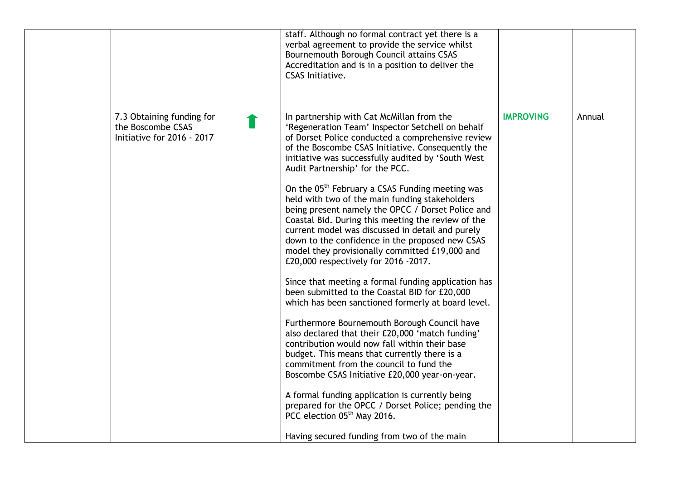|                                                                              | staff. Although no formal contract yet there is a<br>verbal agreement to provide the service whilst<br>Bournemouth Borough Council attains CSAS<br>Accreditation and is in a position to deliver the<br><b>CSAS Initiative.</b>                                                                                                                                                                                                                                                                                                                                                                                                                                                                                                                                                                                                                                                                                                                                                                                                                                                                                                                                                                                                                  |                  |        |
|------------------------------------------------------------------------------|--------------------------------------------------------------------------------------------------------------------------------------------------------------------------------------------------------------------------------------------------------------------------------------------------------------------------------------------------------------------------------------------------------------------------------------------------------------------------------------------------------------------------------------------------------------------------------------------------------------------------------------------------------------------------------------------------------------------------------------------------------------------------------------------------------------------------------------------------------------------------------------------------------------------------------------------------------------------------------------------------------------------------------------------------------------------------------------------------------------------------------------------------------------------------------------------------------------------------------------------------|------------------|--------|
| 7.3 Obtaining funding for<br>the Boscombe CSAS<br>Initiative for 2016 - 2017 | In partnership with Cat McMillan from the<br>'Regeneration Team' Inspector Setchell on behalf<br>of Dorset Police conducted a comprehensive review<br>of the Boscombe CSAS Initiative. Consequently the<br>initiative was successfully audited by 'South West<br>Audit Partnership' for the PCC.<br>On the 05 <sup>th</sup> February a CSAS Funding meeting was<br>held with two of the main funding stakeholders<br>being present namely the OPCC / Dorset Police and<br>Coastal Bid. During this meeting the review of the<br>current model was discussed in detail and purely<br>down to the confidence in the proposed new CSAS<br>model they provisionally committed £19,000 and<br>£20,000 respectively for 2016 -2017.<br>Since that meeting a formal funding application has<br>been submitted to the Coastal BID for £20,000<br>which has been sanctioned formerly at board level.<br>Furthermore Bournemouth Borough Council have<br>also declared that their £20,000 'match funding'<br>contribution would now fall within their base<br>budget. This means that currently there is a<br>commitment from the council to fund the<br>Boscombe CSAS Initiative £20,000 year-on-year.<br>A formal funding application is currently being | <b>IMPROVING</b> | Annual |
|                                                                              | prepared for the OPCC / Dorset Police; pending the<br>PCC election 05 <sup>th</sup> May 2016.<br>Having secured funding from two of the main                                                                                                                                                                                                                                                                                                                                                                                                                                                                                                                                                                                                                                                                                                                                                                                                                                                                                                                                                                                                                                                                                                     |                  |        |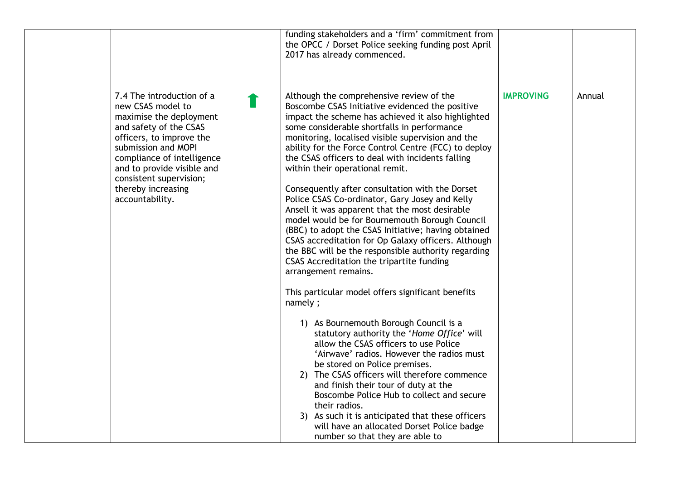|                                                                                                                                                                                                                                                                                        | funding stakeholders and a 'firm' commitment from<br>the OPCC / Dorset Police seeking funding post April<br>2017 has already commenced.                                                                                                                                                                                                                                                                                                                                                                                                                                                                                                                                                                                                                                                                                                                                                                                                                                                                                                                                                                                                                                                                                                                                                                                                                                                                                           |                  |        |
|----------------------------------------------------------------------------------------------------------------------------------------------------------------------------------------------------------------------------------------------------------------------------------------|-----------------------------------------------------------------------------------------------------------------------------------------------------------------------------------------------------------------------------------------------------------------------------------------------------------------------------------------------------------------------------------------------------------------------------------------------------------------------------------------------------------------------------------------------------------------------------------------------------------------------------------------------------------------------------------------------------------------------------------------------------------------------------------------------------------------------------------------------------------------------------------------------------------------------------------------------------------------------------------------------------------------------------------------------------------------------------------------------------------------------------------------------------------------------------------------------------------------------------------------------------------------------------------------------------------------------------------------------------------------------------------------------------------------------------------|------------------|--------|
| 7.4 The introduction of a<br>new CSAS model to<br>maximise the deployment<br>and safety of the CSAS<br>officers, to improve the<br>submission and MOPI<br>compliance of intelligence<br>and to provide visible and<br>consistent supervision;<br>thereby increasing<br>accountability. | Although the comprehensive review of the<br>Boscombe CSAS Initiative evidenced the positive<br>impact the scheme has achieved it also highlighted<br>some considerable shortfalls in performance<br>monitoring, localised visible supervision and the<br>ability for the Force Control Centre (FCC) to deploy<br>the CSAS officers to deal with incidents falling<br>within their operational remit.<br>Consequently after consultation with the Dorset<br>Police CSAS Co-ordinator, Gary Josey and Kelly<br>Ansell it was apparent that the most desirable<br>model would be for Bournemouth Borough Council<br>(BBC) to adopt the CSAS Initiative; having obtained<br>CSAS accreditation for Op Galaxy officers. Although<br>the BBC will be the responsible authority regarding<br>CSAS Accreditation the tripartite funding<br>arrangement remains.<br>This particular model offers significant benefits<br>namely;<br>1) As Bournemouth Borough Council is a<br>statutory authority the 'Home Office' will<br>allow the CSAS officers to use Police<br>'Airwave' radios. However the radios must<br>be stored on Police premises.<br>2) The CSAS officers will therefore commence<br>and finish their tour of duty at the<br>Boscombe Police Hub to collect and secure<br>their radios.<br>3) As such it is anticipated that these officers<br>will have an allocated Dorset Police badge<br>number so that they are able to | <b>IMPROVING</b> | Annual |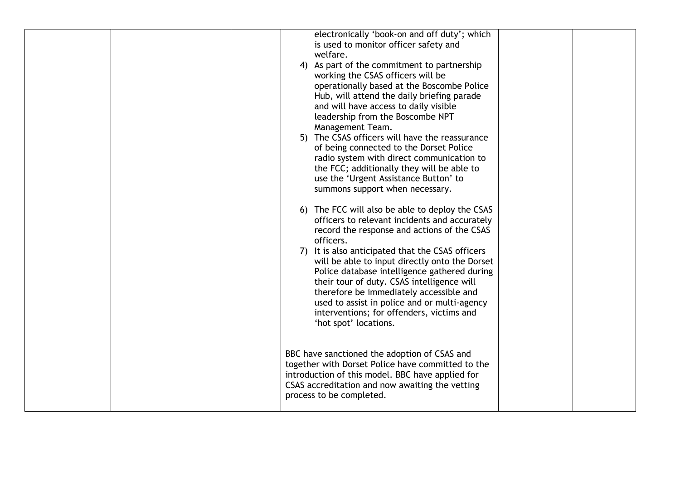|  | electronically 'book-on and off duty'; which      |  |
|--|---------------------------------------------------|--|
|  | is used to monitor officer safety and             |  |
|  | welfare.                                          |  |
|  | 4) As part of the commitment to partnership       |  |
|  | working the CSAS officers will be                 |  |
|  | operationally based at the Boscombe Police        |  |
|  | Hub, will attend the daily briefing parade        |  |
|  | and will have access to daily visible             |  |
|  | leadership from the Boscombe NPT                  |  |
|  | Management Team.                                  |  |
|  | 5) The CSAS officers will have the reassurance    |  |
|  | of being connected to the Dorset Police           |  |
|  | radio system with direct communication to         |  |
|  | the FCC; additionally they will be able to        |  |
|  | use the 'Urgent Assistance Button' to             |  |
|  | summons support when necessary.                   |  |
|  |                                                   |  |
|  | 6) The FCC will also be able to deploy the CSAS   |  |
|  | officers to relevant incidents and accurately     |  |
|  | record the response and actions of the CSAS       |  |
|  | officers.                                         |  |
|  | 7) It is also anticipated that the CSAS officers  |  |
|  | will be able to input directly onto the Dorset    |  |
|  | Police database intelligence gathered during      |  |
|  | their tour of duty. CSAS intelligence will        |  |
|  | therefore be immediately accessible and           |  |
|  | used to assist in police and or multi-agency      |  |
|  | interventions; for offenders, victims and         |  |
|  | 'hot spot' locations.                             |  |
|  |                                                   |  |
|  |                                                   |  |
|  | BBC have sanctioned the adoption of CSAS and      |  |
|  | together with Dorset Police have committed to the |  |
|  | introduction of this model. BBC have applied for  |  |
|  | CSAS accreditation and now awaiting the vetting   |  |
|  | process to be completed.                          |  |
|  |                                                   |  |
|  |                                                   |  |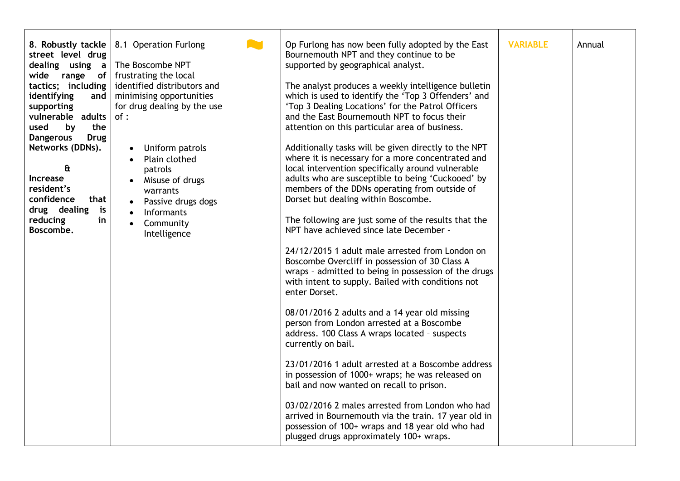| 8. Robustly tackle<br>street level drug<br>range<br>wide<br>tactics; including<br>identifying<br>supporting<br>vulnerable adults<br>used<br>by<br>the<br><b>Dangerous</b><br><b>Drug</b><br>Networks (DDNs).<br>$\mathbf{a}$<br>Increase<br>resident's<br>confidence<br>that<br>drug dealing<br>is<br>reducing<br>in<br>Boscombe. | 8.1 Operation Furlong<br>dealing using $a \mid$ The Boscombe NPT<br>of   frustrating the local<br>identified distributors and<br>and   minimising opportunities<br>for drug dealing by the use<br>of:<br>Uniform patrols<br>$\bullet$<br>Plain clothed<br>patrols<br>Misuse of drugs<br>warrants<br>Passive drugs dogs<br>Informants<br>Community<br>Intelligence |  | Op Furlong has now been fully adopted by the East<br>Bournemouth NPT and they continue to be<br>supported by geographical analyst.<br>The analyst produces a weekly intelligence bulletin<br>which is used to identify the 'Top 3 Offenders' and<br>'Top 3 Dealing Locations' for the Patrol Officers<br>and the East Bournemouth NPT to focus their<br>attention on this particular area of business.<br>Additionally tasks will be given directly to the NPT<br>where it is necessary for a more concentrated and<br>local intervention specifically around vulnerable<br>adults who are susceptible to being 'Cuckooed' by<br>members of the DDNs operating from outside of<br>Dorset but dealing within Boscombe.<br>The following are just some of the results that the<br>NPT have achieved since late December -<br>24/12/2015 1 adult male arrested from London on<br>Boscombe Overcliff in possession of 30 Class A<br>wraps - admitted to being in possession of the drugs<br>with intent to supply. Bailed with conditions not<br>enter Dorset.<br>08/01/2016 2 adults and a 14 year old missing<br>person from London arrested at a Boscombe<br>address. 100 Class A wraps located - suspects<br>currently on bail.<br>23/01/2016 1 adult arrested at a Boscombe address<br>in possession of 1000+ wraps; he was released on<br>bail and now wanted on recall to prison.<br>03/02/2016 2 males arrested from London who had<br>arrived in Bournemouth via the train. 17 year old in<br>possession of 100+ wraps and 18 year old who had<br>plugged drugs approximately 100+ wraps. | <b>VARIABLE</b> | Annual |
|-----------------------------------------------------------------------------------------------------------------------------------------------------------------------------------------------------------------------------------------------------------------------------------------------------------------------------------|-------------------------------------------------------------------------------------------------------------------------------------------------------------------------------------------------------------------------------------------------------------------------------------------------------------------------------------------------------------------|--|------------------------------------------------------------------------------------------------------------------------------------------------------------------------------------------------------------------------------------------------------------------------------------------------------------------------------------------------------------------------------------------------------------------------------------------------------------------------------------------------------------------------------------------------------------------------------------------------------------------------------------------------------------------------------------------------------------------------------------------------------------------------------------------------------------------------------------------------------------------------------------------------------------------------------------------------------------------------------------------------------------------------------------------------------------------------------------------------------------------------------------------------------------------------------------------------------------------------------------------------------------------------------------------------------------------------------------------------------------------------------------------------------------------------------------------------------------------------------------------------------------------------------------------------------------------------------------------------|-----------------|--------|
|-----------------------------------------------------------------------------------------------------------------------------------------------------------------------------------------------------------------------------------------------------------------------------------------------------------------------------------|-------------------------------------------------------------------------------------------------------------------------------------------------------------------------------------------------------------------------------------------------------------------------------------------------------------------------------------------------------------------|--|------------------------------------------------------------------------------------------------------------------------------------------------------------------------------------------------------------------------------------------------------------------------------------------------------------------------------------------------------------------------------------------------------------------------------------------------------------------------------------------------------------------------------------------------------------------------------------------------------------------------------------------------------------------------------------------------------------------------------------------------------------------------------------------------------------------------------------------------------------------------------------------------------------------------------------------------------------------------------------------------------------------------------------------------------------------------------------------------------------------------------------------------------------------------------------------------------------------------------------------------------------------------------------------------------------------------------------------------------------------------------------------------------------------------------------------------------------------------------------------------------------------------------------------------------------------------------------------------|-----------------|--------|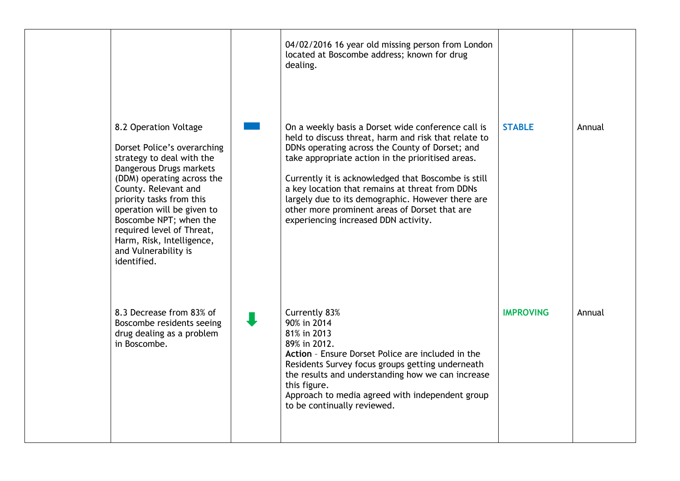|                                                                                                                                                                                                                                                                                                                                                         | 04/02/2016 16 year old missing person from London<br>located at Boscombe address; known for drug<br>dealing.                                                                                                                                                                                                                                                                                                                                                               |                  |        |
|---------------------------------------------------------------------------------------------------------------------------------------------------------------------------------------------------------------------------------------------------------------------------------------------------------------------------------------------------------|----------------------------------------------------------------------------------------------------------------------------------------------------------------------------------------------------------------------------------------------------------------------------------------------------------------------------------------------------------------------------------------------------------------------------------------------------------------------------|------------------|--------|
| 8.2 Operation Voltage<br>Dorset Police's overarching<br>strategy to deal with the<br>Dangerous Drugs markets<br>(DDM) operating across the<br>County. Relevant and<br>priority tasks from this<br>operation will be given to<br>Boscombe NPT; when the<br>required level of Threat,<br>Harm, Risk, Intelligence,<br>and Vulnerability is<br>identified. | On a weekly basis a Dorset wide conference call is<br>held to discuss threat, harm and risk that relate to<br>DDNs operating across the County of Dorset; and<br>take appropriate action in the prioritised areas.<br>Currently it is acknowledged that Boscombe is still<br>a key location that remains at threat from DDNs<br>largely due to its demographic. However there are<br>other more prominent areas of Dorset that are<br>experiencing increased DDN activity. | <b>STABLE</b>    | Annual |
| 8.3 Decrease from 83% of<br>Boscombe residents seeing<br>drug dealing as a problem<br>in Boscombe.                                                                                                                                                                                                                                                      | Currently 83%<br>90% in 2014<br>81% in 2013<br>89% in 2012.<br>Action - Ensure Dorset Police are included in the<br>Residents Survey focus groups getting underneath<br>the results and understanding how we can increase<br>this figure.<br>Approach to media agreed with independent group<br>to be continually reviewed.                                                                                                                                                | <b>IMPROVING</b> | Annual |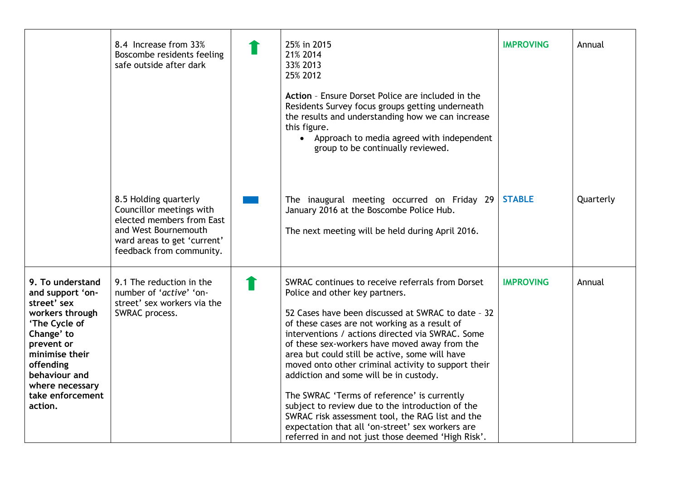|                                                                                                                                                                                                                       | 8.4 Increase from 33%<br>Boscombe residents feeling<br>safe outside after dark                                                                                    | 25% in 2015<br>21% 2014<br>33% 2013<br>25% 2012                                                                                                                                                                                                                                                                                                                                                                                                                                                                                                                                                                                                                                                                    | <b>IMPROVING</b> | Annual    |
|-----------------------------------------------------------------------------------------------------------------------------------------------------------------------------------------------------------------------|-------------------------------------------------------------------------------------------------------------------------------------------------------------------|--------------------------------------------------------------------------------------------------------------------------------------------------------------------------------------------------------------------------------------------------------------------------------------------------------------------------------------------------------------------------------------------------------------------------------------------------------------------------------------------------------------------------------------------------------------------------------------------------------------------------------------------------------------------------------------------------------------------|------------------|-----------|
|                                                                                                                                                                                                                       |                                                                                                                                                                   | Action - Ensure Dorset Police are included in the<br>Residents Survey focus groups getting underneath<br>the results and understanding how we can increase<br>this figure.<br>• Approach to media agreed with independent<br>group to be continually reviewed.                                                                                                                                                                                                                                                                                                                                                                                                                                                     |                  |           |
|                                                                                                                                                                                                                       | 8.5 Holding quarterly<br>Councillor meetings with<br>elected members from East<br>and West Bournemouth<br>ward areas to get 'current'<br>feedback from community. | The inaugural meeting occurred on Friday 29<br>January 2016 at the Boscombe Police Hub.<br>The next meeting will be held during April 2016.                                                                                                                                                                                                                                                                                                                                                                                                                                                                                                                                                                        | <b>STABLE</b>    | Quarterly |
| 9. To understand<br>and support 'on-<br>street' sex<br>workers through<br>'The Cycle of<br>Change' to<br>prevent or<br>minimise their<br>offending<br>behaviour and<br>where necessary<br>take enforcement<br>action. | 9.1 The reduction in the<br>number of 'active' 'on-<br>street' sex workers via the<br>SWRAC process.                                                              | SWRAC continues to receive referrals from Dorset<br>Police and other key partners.<br>52 Cases have been discussed at SWRAC to date - 32<br>of these cases are not working as a result of<br>interventions / actions directed via SWRAC. Some<br>of these sex-workers have moved away from the<br>area but could still be active, some will have<br>moved onto other criminal activity to support their<br>addiction and some will be in custody.<br>The SWRAC 'Terms of reference' is currently<br>subject to review due to the introduction of the<br>SWRAC risk assessment tool, the RAG list and the<br>expectation that all 'on-street' sex workers are<br>referred in and not just those deemed 'High Risk'. | <b>IMPROVING</b> | Annual    |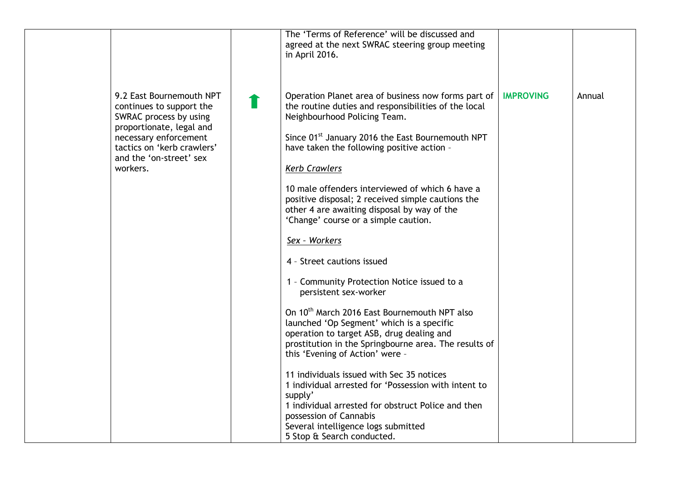|          |                                                                                                                                                                                              | The 'Terms of Reference' will be discussed and<br>agreed at the next SWRAC steering group meeting<br>in April 2016.                                                                                                                                                                                                                                                                                                                                                                                                                                                                                                                                                                                                                                                                                                                                                                                                                                                                                                                                                                                                            |                  |        |
|----------|----------------------------------------------------------------------------------------------------------------------------------------------------------------------------------------------|--------------------------------------------------------------------------------------------------------------------------------------------------------------------------------------------------------------------------------------------------------------------------------------------------------------------------------------------------------------------------------------------------------------------------------------------------------------------------------------------------------------------------------------------------------------------------------------------------------------------------------------------------------------------------------------------------------------------------------------------------------------------------------------------------------------------------------------------------------------------------------------------------------------------------------------------------------------------------------------------------------------------------------------------------------------------------------------------------------------------------------|------------------|--------|
| workers. | 9.2 East Bournemouth NPT<br>continues to support the<br>SWRAC process by using<br>proportionate, legal and<br>necessary enforcement<br>tactics on 'kerb crawlers'<br>and the 'on-street' sex | Operation Planet area of business now forms part of<br>the routine duties and responsibilities of the local<br>Neighbourhood Policing Team.<br>Since 01 <sup>st</sup> January 2016 the East Bournemouth NPT<br>have taken the following positive action -<br><b>Kerb Crawlers</b><br>10 male offenders interviewed of which 6 have a<br>positive disposal; 2 received simple cautions the<br>other 4 are awaiting disposal by way of the<br>'Change' course or a simple caution.<br>Sex - Workers<br>4 - Street cautions issued<br>1 - Community Protection Notice issued to a<br>persistent sex-worker<br>On 10 <sup>th</sup> March 2016 East Bournemouth NPT also<br>launched 'Op Segment' which is a specific<br>operation to target ASB, drug dealing and<br>prostitution in the Springbourne area. The results of<br>this 'Evening of Action' were -<br>11 individuals issued with Sec 35 notices<br>1 individual arrested for 'Possession with intent to<br>supply'<br>1 individual arrested for obstruct Police and then<br>possession of Cannabis<br>Several intelligence logs submitted<br>5 Stop & Search conducted. | <b>IMPROVING</b> | Annual |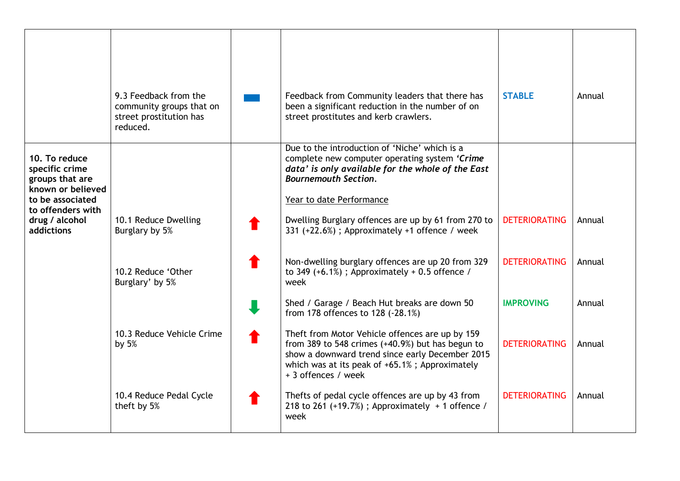|                                                                                                                                                         | 9.3 Feedback from the<br>community groups that on<br>street prostitution has<br>reduced. | Feedback from Community leaders that there has<br>been a significant reduction in the number of on<br>street prostitutes and kerb crawlers.                                                                                     | <b>STABLE</b>        | Annual |
|---------------------------------------------------------------------------------------------------------------------------------------------------------|------------------------------------------------------------------------------------------|---------------------------------------------------------------------------------------------------------------------------------------------------------------------------------------------------------------------------------|----------------------|--------|
| 10. To reduce<br>specific crime<br>groups that are<br>known or believed<br>to be associated<br>to offenders with<br>drug / alcohol<br><b>addictions</b> |                                                                                          | Due to the introduction of 'Niche' which is a<br>complete new computer operating system 'Crime<br>data' is only available for the whole of the East<br><b>Bournemouth Section.</b><br>Year to date Performance                  |                      |        |
|                                                                                                                                                         | 10.1 Reduce Dwelling<br>Burglary by 5%                                                   | Dwelling Burglary offences are up by 61 from 270 to<br>331 (+22.6%); Approximately +1 offence / week                                                                                                                            | <b>DETERIORATING</b> | Annual |
|                                                                                                                                                         | 10.2 Reduce 'Other<br>Burglary' by 5%                                                    | Non-dwelling burglary offences are up 20 from 329<br>to 349 $(+6.1%)$ ; Approximately $+0.5$ offence /<br>week                                                                                                                  | <b>DETERIORATING</b> | Annual |
|                                                                                                                                                         |                                                                                          | Shed / Garage / Beach Hut breaks are down 50<br>from 178 offences to 128 (-28.1%)                                                                                                                                               | <b>IMPROVING</b>     | Annual |
|                                                                                                                                                         | 10.3 Reduce Vehicle Crime<br>by $5%$                                                     | Theft from Motor Vehicle offences are up by 159<br>from 389 to 548 crimes (+40.9%) but has begun to<br>show a downward trend since early December 2015<br>which was at its peak of +65.1%; Approximately<br>+ 3 offences / week | <b>DETERIORATING</b> | Annual |
|                                                                                                                                                         | 10.4 Reduce Pedal Cycle<br>theft by 5%                                                   | Thefts of pedal cycle offences are up by 43 from<br>218 to 261 (+19.7%); Approximately + 1 offence /<br>week                                                                                                                    | <b>DETERIORATING</b> | Annual |